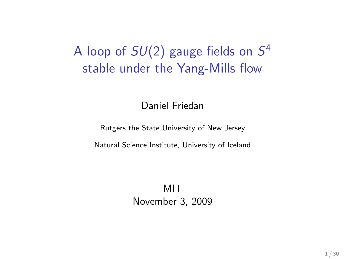# A loop of  $SU(2)$  gauge fields on  $S^4$ stable under the Yang-Mills flow

Daniel Friedan

Rutgers the State University of New Jersey

Natural Science Institute, University of Iceland

MIT November 3, 2009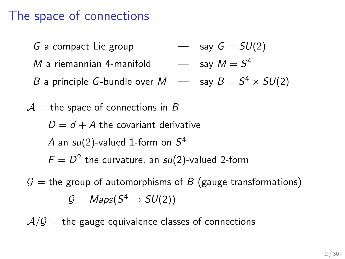# The space of connections

G a compact Lie group  $\rightarrow$  say  $G = SU(2)$  $M$  a riemannian 4-manifold  $\qquad \longrightarrow \quad$  say  $M=S^4$ B a principle G-bundle over M — say B = S <sup>4</sup> × SU(2)  $\mathcal{A}$  = the space of connections in B  $D = d + A$  the covariant derivative A an  $su(2)$ -valued 1-form on  $S^4$  $F=D^2$  the curvature, an su(2)-valued 2-form  $G =$  the group of automorphisms of B (gauge transformations)  $\mathcal{G} = \mathit{Maps}(S^4 \rightarrow SU(2))$ 

 $A/G$  = the gauge equivalence classes of connections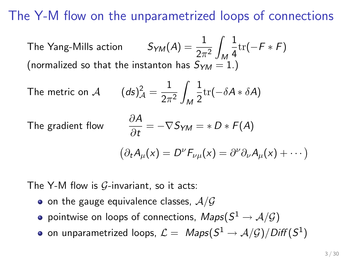The Y-M flow on the unparametrized loops of connections

The Yang-Mills action  $2\pi^2$ Z M 1  $\frac{1}{4}$ tr(−F \* F) (normalized so that the instanton has  $S_{YM} = 1.$ )

The metric on 
$$
\mathcal{A}
$$
  $(ds)_{\mathcal{A}}^2 = \frac{1}{2\pi^2} \int_M \frac{1}{2} \text{tr}(-\delta A * \delta A)$ 

The gradient flow

$$
\frac{\partial A}{\partial t} = -\nabla S_{YM} = *D * F(A)
$$

$$
(\partial_t A_\mu(x) = D^\nu F_{\nu\mu}(x) = \partial^\nu \partial_\nu A_\mu(x) + \cdots)
$$

The Y-M flow is  $G$ -invariant, so it acts:

- $\bullet$  on the gauge equivalence classes,  $\mathcal{A}/\mathcal{G}$
- pointwise on loops of connections,  $\mathit{Maps}(S^1 \rightarrow \mathcal{A}/\mathcal{G})$
- on unparametrized loops,  $\mathcal{L}=\; \mathit{Maps}(S^1\to \mathcal{A/G})/\mathit{Diff}(S^1)$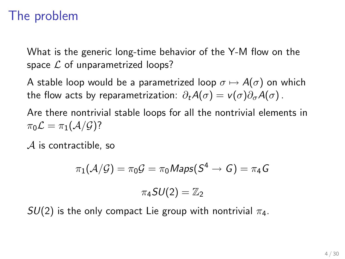# The problem

What is the generic long-time behavior of the Y-M flow on the space  $\mathcal L$  of unparametrized loops?

A stable loop would be a parametrized loop  $\sigma \mapsto A(\sigma)$  on which the flow acts by reparametrization:  $\partial_t A(\sigma) = v(\sigma) \partial_{\sigma} A(\sigma)$ .

Are there nontrivial stable loops for all the nontrivial elements in  $\pi_0 \mathcal{L} = \pi_1(\mathcal{A}/\mathcal{G})$ ?

A is contractible, so

$$
\pi_1(\mathcal{A}/\mathcal{G}) = \pi_0 \mathcal{G} = \pi_0 \mathsf{Maps}(S^4 \to \mathcal{G}) = \pi_4 \mathcal{G}
$$

$$
\pi_4 \mathcal{S} U(2) = \mathbb{Z}_2
$$

 $SU(2)$  is the only compact Lie group with nontrivial  $\pi_4$ .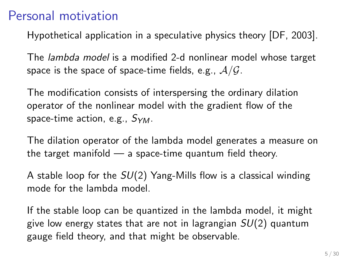# Personal motivation

Hypothetical application in a speculative physics theory [DF, 2003].

The lambda model is a modified 2-d nonlinear model whose target space is the space of space-time fields, e.g.,  $A/G$ .

The modification consists of interspersing the ordinary dilation operator of the nonlinear model with the gradient flow of the space-time action, e.g.,  $S_{YM}$ .

The dilation operator of the lambda model generates a measure on the target manifold  $-$  a space-time quantum field theory.

A stable loop for the  $SU(2)$  Yang-Mills flow is a classical winding mode for the lambda model.

If the stable loop can be quantized in the lambda model, it might give low energy states that are not in lagrangian  $SU(2)$  quantum gauge field theory, and that might be observable.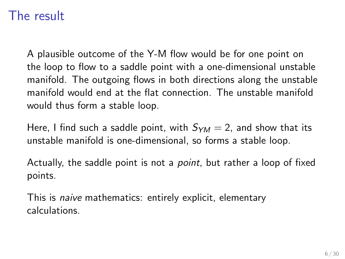# The result

A plausible outcome of the Y-M flow would be for one point on the loop to flow to a saddle point with a one-dimensional unstable manifold. The outgoing flows in both directions along the unstable manifold would end at the flat connection. The unstable manifold would thus form a stable loop.

Here, I find such a saddle point, with  $S_{YM} = 2$ , and show that its unstable manifold is one-dimensional, so forms a stable loop.

Actually, the saddle point is not a point, but rather a loop of fixed points.

This is naive mathematics: entirely explicit, elementary calculations.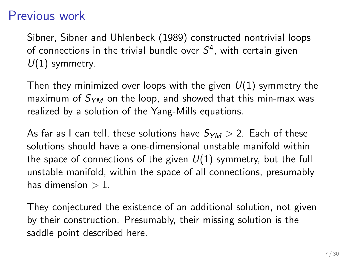### Previous work

Sibner, Sibner and Uhlenbeck (1989) constructed nontrivial loops of connections in the trivial bundle over  $S^4$ , with certain given  $U(1)$  symmetry.

Then they minimized over loops with the given  $U(1)$  symmetry the maximum of  $S_{YM}$  on the loop, and showed that this min-max was realized by a solution of the Yang-Mills equations.

As far as I can tell, these solutions have  $S_{YM} > 2$ . Each of these solutions should have a one-dimensional unstable manifold within the space of connections of the given  $U(1)$  symmetry, but the full unstable manifold, within the space of all connections, presumably has dimension  $> 1$ .

They conjectured the existence of an additional solution, not given by their construction. Presumably, their missing solution is the saddle point described here.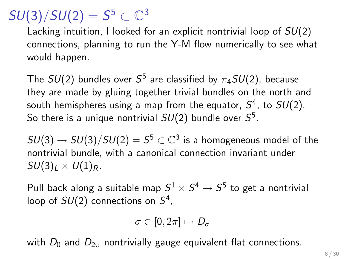# $SU(3)/SU(2)=S^5\subset\mathbb{C}^3$

Lacking intuition, I looked for an explicit nontrivial loop of  $SU(2)$ connections, planning to run the Y-M flow numerically to see what would happen.

The  $SU(2)$  bundles over  ${\cal S}^5$  are classified by  $\pi_4SU(2)$ , because they are made by gluing together trivial bundles on the north and south hemispheres using a map from the equator,  ${\cal S}^4$ , to  $SU(2)$ . So there is a unique nontrivial  $SU(2)$  bundle over  ${\cal S}^5.$ 

 $SU(3) \rightarrow SU(3)/SU(2) = S^5 \subset \mathbb{C}^3$  is a homogeneous model of the nontrivial bundle, with a canonical connection invariant under  $SU(3)_I \times U(1)_R$ .

Pull back along a suitable map  $S^1 \times S^4 \to S^5$  to get a nontrivial loop of  $SU(2)$  connections on  $S^4$ ,

$$
\sigma\in[0,2\pi]\mapsto D_\sigma
$$

with  $D_0$  and  $D_{2\pi}$  nontrivially gauge equivalent flat connections.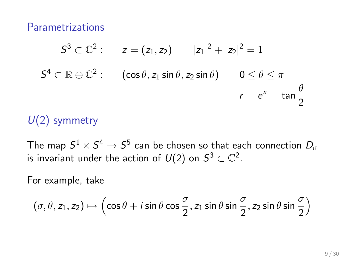Parametrizations

$$
S^{3} \subset \mathbb{C}^{2}: \t z = (z_{1}, z_{2}) \t |z_{1}|^{2} + |z_{2}|^{2} = 1
$$
  

$$
S^{4} \subset \mathbb{R} \oplus \mathbb{C}^{2}: \t (cos \theta, z_{1} sin \theta, z_{2} sin \theta) \t 0 \le \theta \le \pi
$$
  

$$
r = e^{x} = tan \frac{\theta}{2}
$$

#### $U(2)$  symmetry

The map  $S^1 \times S^4 \to S^5$  can be chosen so that each connection  $D_\sigma$ is invariant under the action of  $U(2)$  on  $\mathcal{S}^3\subset\mathbb{C}^2.$ 

For example, take

$$
(\sigma,\theta,z_1,z_2)\mapsto \left(\cos\theta+i\sin\theta\cos\frac{\sigma}{2},z_1\sin\theta\sin\frac{\sigma}{2},z_2\sin\theta\sin\frac{\sigma}{2}\right)
$$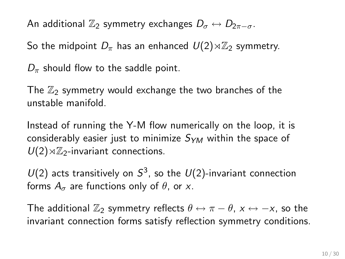An additional  $\mathbb{Z}_2$  symmetry exchanges  $D_{\sigma} \leftrightarrow D_{2\pi-\sigma}$ .

So the midpoint  $D_{\pi}$  has an enhanced  $U(2)\rtimes\mathbb{Z}_2$  symmetry.

 $D_{\pi}$  should flow to the saddle point.

The  $\mathbb{Z}_2$  symmetry would exchange the two branches of the unstable manifold.

Instead of running the Y-M flow numerically on the loop, it is considerably easier just to minimize  $S_{YM}$  within the space of  $U(2)\rtimes\mathbb{Z}_2$ -invariant connections.

 $U(2)$  acts transitively on  $S^3$ , so the  $U(2)$ -invariant connection forms  $A_{\sigma}$  are functions only of  $\theta$ , or x.

The additional  $\mathbb{Z}_2$  symmetry reflects  $\theta \leftrightarrow \pi - \theta$ ,  $x \leftrightarrow -x$ , so the invariant connection forms satisfy reflection symmetry conditions.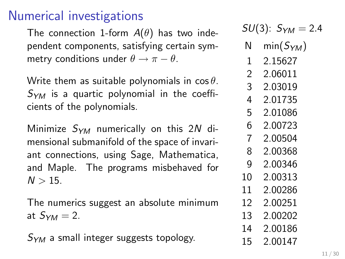# Numerical investigations

The connection 1-form  $A(\theta)$  has two independent components, satisfying certain symmetry conditions under  $\theta \rightarrow \pi - \theta$ .

Write them as suitable polynomials in  $\cos \theta$ .  $S_{YM}$  is a quartic polynomial in the coefficients of the polynomials.

Minimize  $S_{YM}$  numerically on this 2N dimensional submanifold of the space of invariant connections, using Sage, Mathematica, and Maple. The programs misbehaved for  $N > 15$ .

The numerics suggest an absolute minimum at  $S_{YM}=2$ .

 $S_{YM}$  a small integer suggests topology.

 $SU(3)$ :  $S_{YM} = 2.4$ 

- N min $(S_{YM})$
- 1 2.15627
- 2 2.06011
- 3 2.03019
- 4 2.01735
- 5 2.01086
- 6 2.00723
- 7 2.00504
- 8 2.00368
- 9 2.00346
- 10 2.00313
- 11 2.00286
- 12 2.00251
- 13 2.00202
- 14 2.00186 15 2.00147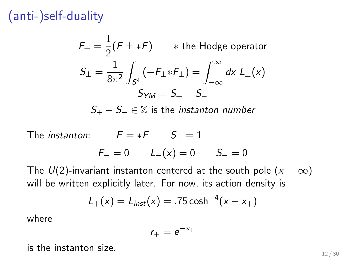(anti-)self-duality

 $F_{\pm}=\frac{1}{2}$  $\frac{1}{2}$  $(F \pm *F)$   $*$  the Hodge operator  $S_{\pm}=\frac{1}{2\pi}$  $8\pi^2$ Z  $\mathcal{S}^4$  $(-F_{\pm} * F_{\pm}) = \int^{\infty}$ −∞ dx  $L_{\pm}(x)$  $S_{YM} = S_{+} + S_{-}$  $S_+ - S_- \in \mathbb{Z}$  is the *instanton number* 

The *instanton*:  $F = *F$   $S_+ = 1$  $F_-=0$   $L_-(x)=0$   $S_-=0$ 

The  $U(2)$ -invariant instanton centered at the south pole  $(x = \infty)$ will be written explicitly later. For now, its action density is

$$
L_{+}(x) = L_{inst}(x) = .75 \cosh^{-4}(x - x_{+})
$$

where

$$
r_+=e^{-x_+}
$$

is the instanton size.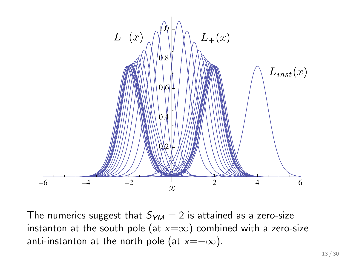

The numerics suggest that  $S_{YM} = 2$  is attained as a zero-size instanton at the south pole (at  $x=\infty$ ) combined with a zero-size anti-instanton at the north pole (at  $x=-\infty$ ).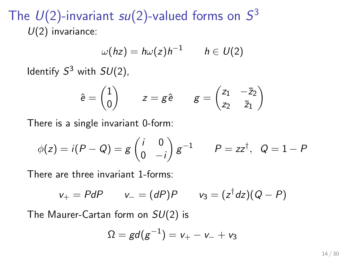The  $U(2)$ -invariant su(2)-valued forms on  $S^3$  $U(2)$  invariance:

$$
\omega(hz)=h\omega(z)h^{-1}\qquad h\in U(2)
$$

Identify  $S^3$  with  $SU(2)$ ,

$$
\hat{e} = \begin{pmatrix} 1 \\ 0 \end{pmatrix} \qquad z = g \hat{e} \qquad g = \begin{pmatrix} z_1 & -\bar{z}_2 \\ z_2 & \bar{z}_1 \end{pmatrix}
$$

There is a single invariant 0-form:

$$
\phi(z) = i(P - Q) = g\begin{pmatrix} i & 0 \\ 0 & -i \end{pmatrix} g^{-1} \qquad P = zz^{\dagger}, \ \ Q = 1 - P
$$

There are three invariant 1-forms:

$$
v_+ = P dP \qquad v_- = (dP)P \qquad v_3 = (z^{\dagger} dz)(Q - P)
$$

The Maurer-Cartan form on  $SU(2)$  is

$$
\Omega = gd(g^{-1}) = v_+ - v_- + v_3
$$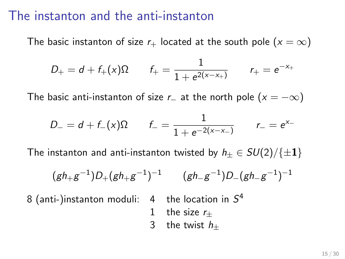#### The instanton and the anti-instanton

The basic instanton of size  $r_{+}$  located at the south pole  $(x = \infty)$ 

$$
D_+ = d + f_+(x)\Omega \qquad f_+ = \frac{1}{1 + e^{2(x-x_+)}} \qquad r_+ = e^{-x_+}
$$

The basic anti-instanton of size r\_ at the north pole  $(x = -\infty)$ 

$$
D_{-} = d + f_{-}(x)\Omega \qquad f_{-} = \frac{1}{1 + e^{-2(x - x_{-})}} \qquad r_{-} = e^{x_{-}}
$$

The instanton and anti-instanton twisted by  $h_+ \in SU(2)/\{\pm 1\}$ 

$$
(gh_+g^{-1})D_+(gh_+g^{-1})^{-1}
$$
  $(gh_g^{-1})D_-(gh_g^{-1})^{-1}$ 

8 (anti-)instanton moduli:  $4$  the location in  $S^4$ 

- 1 the size  $r_{\pm}$
- 3 the twist  $h_{+}$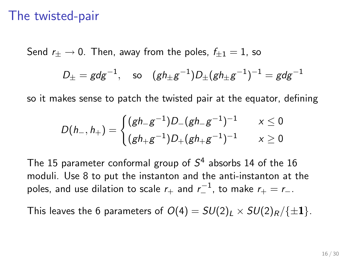#### The twisted-pair

Send  $r_{+} \rightarrow 0$ . Then, away from the poles,  $f_{+1} = 1$ , so

$$
D_{\pm} = g dg^{-1}
$$
, so  $(gh_{\pm}g^{-1})D_{\pm}(gh_{\pm}g^{-1})^{-1} = g dg^{-1}$ 

so it makes sense to patch the twisted pair at the equator, defining

$$
D(h_-,h_+) = \begin{cases} (gh_-g^{-1})D_-(gh_-g^{-1})^{-1} & \quad x \leq 0 \\ (gh_+g^{-1})D_+(gh_+g^{-1})^{-1} & \quad x \geq 0 \end{cases}
$$

The 15 parameter conformal group of  $S^4$  absorbs 14 of the 16 moduli. Use 8 to put the instanton and the anti-instanton at the poles, and use dilation to scale  $r_+$  and  $r_-^{-1}$ , to make  $r_+=r_-.$ 

This leaves the 6 parameters of  $O(4) = SU(2)_L \times SU(2)_R / {\pm 1}$ .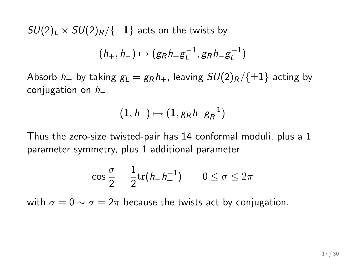$SU(2)_L \times SU(2)_R / \{\pm 1\}$  acts on the twists by

$$
(h_+, h_-) \mapsto (g_R h_+ g_L^{-1}, g_R h_- g_L^{-1})
$$

Absorb  $h_+$  by taking  $g_L = g_R h_+$ , leaving  $SU(2)_R / \{\pm 1\}$  acting by conjugation on h<sup>−</sup>

$$
(1,h_-)\mapsto (1,g_Rh_-g_R^{-1})
$$

Thus the zero-size twisted-pair has 14 conformal moduli, plus a 1 parameter symmetry, plus 1 additional parameter

$$
\cos\frac{\sigma}{2}=\frac{1}{2}\mathrm{tr}(h_-h_+^{-1})\qquad 0\leq\sigma\leq 2\pi
$$

with  $\sigma = 0 \sim \sigma = 2\pi$  because the twists act by conjugation.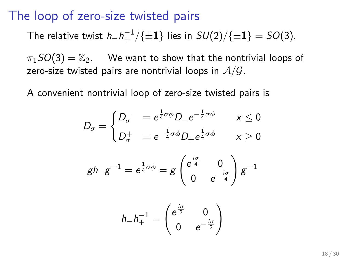#### The loop of zero-size twisted pairs

The relative twist  $h_- h_+^{-1}/\{\pm 1\}$  lies in  $SU(2)/\{\pm 1\}=SO(3)$ .

 $\pi_1SO(3) = \mathbb{Z}_2$ . We want to show that the nontrivial loops of zero-size twisted pairs are nontrivial loops in  $A/G$ .

A convenient nontrivial loop of zero-size twisted pairs is

$$
D_{\sigma} = \begin{cases} D_{\sigma}^- &= e^{\frac{1}{4}\sigma\phi}D_{-}e^{-\frac{1}{4}\sigma\phi} & x \le 0 \\ D_{\sigma}^+ &= e^{-\frac{1}{4}\sigma\phi}D_{+}e^{\frac{1}{4}\sigma\phi} & x \ge 0 \end{cases}
$$

$$
gh_-g^{-1}=e^{\frac{1}{4}\sigma\phi}=g\begin{pmatrix}e^{\frac{i\sigma}{4}}&0\\0&e^{-\frac{i\sigma}{4}}\end{pmatrix}g^{-1}
$$

$$
h_-h_+^{-1}=\begin{pmatrix} e^{\frac{i\sigma}{2}} & 0 \\ 0 & e^{-\frac{i\sigma}{2}} \end{pmatrix}
$$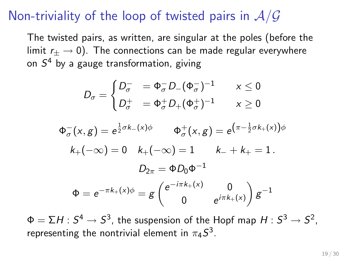# Non-triviality of the loop of twisted pairs in  $A/G$

The twisted pairs, as written, are singular at the poles (before the limit  $r_{+} \rightarrow 0$ ). The connections can be made regular everywhere on  $\mathcal{S}^4$  by a gauge transformation, giving

$$
D_{\sigma} = \begin{cases} D_{\sigma}^- &= \Phi_{\sigma}^- D_-(\Phi_{\sigma}^-)^{-1} & x \le 0 \\ D_{\sigma}^+ &= \Phi_{\sigma}^+ D_+(\Phi_{\sigma}^+)^{-1} & x \ge 0 \end{cases}
$$

 $\Phi^-_\sigma(\mathsf{x},g) = e^{\tfrac{1}{2}\sigma k_-(\mathsf{x})\phi} \qquad \Phi^+_\sigma(\mathsf{x},g) = e^{\left(\pi-\tfrac{1}{2}\sigma k_+(\mathsf{x})\right)\phi}$  $k_{+}(-\infty) = 0 \quad k_{+}(-\infty) = 1 \qquad k_{-} + k_{+} = 1$ .  $D_{2\pi} = \Phi D_0 \Phi^{-1}$  $\Phi = e^{-\pi k_+(x)\phi} = g \begin{pmatrix} e^{-i\pi k_+(x)} & 0 \\ 0 & i\pi k \end{pmatrix}$ 0  $e^{i\pi k_+(x)}$  $\Big) g^{-1}$ 

 $\Phi = \Sigma H$  :  $S^4 \rightarrow S^3$ , the suspension of the Hopf map  $H$  :  $S^3 \rightarrow S^2$ , representing the nontrivial element in  $\pi_4 S^3.$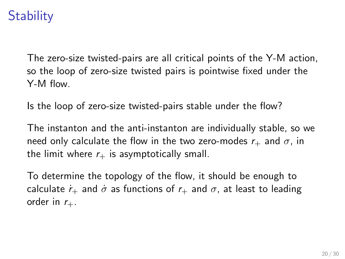# **Stability**

The zero-size twisted-pairs are all critical points of the Y-M action, so the loop of zero-size twisted pairs is pointwise fixed under the Y-M flow.

Is the loop of zero-size twisted-pairs stable under the flow?

The instanton and the anti-instanton are individually stable, so we need only calculate the flow in the two zero-modes  $r_{+}$  and  $\sigma$ , in the limit where  $r_{+}$  is asymptotically small.

To determine the topology of the flow, it should be enough to calculate  $\dot{r}_+$  and  $\dot{\sigma}$  as functions of  $r_+$  and  $\sigma$ , at least to leading order in  $r_{+}$ .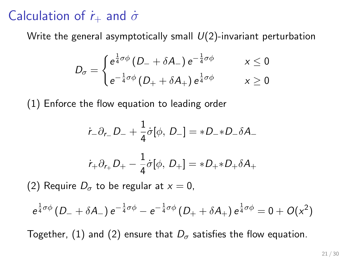# Calculation of  $\dot{r}_+$  and  $\dot{\sigma}$

Write the general asymptotically small  $U(2)$ -invariant perturbation

$$
D_{\sigma} = \begin{cases} e^{\frac{1}{4}\sigma\phi} \left( D_{-} + \delta A_{-} \right) e^{-\frac{1}{4}\sigma\phi} & x \leq 0 \\ e^{-\frac{1}{4}\sigma\phi} \left( D_{+} + \delta A_{+} \right) e^{\frac{1}{4}\sigma\phi} & x \geq 0 \end{cases}
$$

(1) Enforce the flow equation to leading order

$$
\dot{r}_{-}\partial_{r_{-}}D_{-} + \frac{1}{4}\dot{\sigma}[\phi, D_{-}] = *D_{-} * D_{-}\delta A_{-}
$$

$$
\dot{r}_{+}\partial_{r_{+}}D_{+} - \frac{1}{4}\dot{\sigma}[\phi, D_{+}] = *D_{+} * D_{+}\delta A_{+}
$$

(2) Require  $D_{\sigma}$  to be regular at  $x = 0$ ,

$$
e^{\frac{1}{4}\sigma \phi} \left( D_- + \delta A_- \right) e^{-\frac{1}{4}\sigma \phi} - e^{-\frac{1}{4}\sigma \phi} \left( D_+ + \delta A_+ \right) e^{\frac{1}{4}\sigma \phi} = 0 + O(x^2)
$$

Together, (1) and (2) ensure that  $D_{\sigma}$  satisfies the flow equation.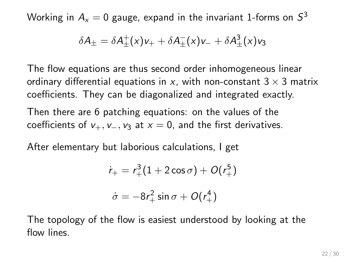Working in  $A_{\mathsf{x}} = 0$  gauge, expand in the invariant 1-forms on  $\mathcal{S}^3$ 

$$
\delta A_{\pm} = \delta A_{\pm}^{\dagger}(x)v_{+} + \delta A_{\pm}^{\dagger}(x)v_{-} + \delta A_{\pm}^{3}(x)v_{3}
$$

The flow equations are thus second order inhomogeneous linear ordinary differential equations in x, with non-constant  $3 \times 3$  matrix coefficients. They can be diagonalized and integrated exactly.

Then there are 6 patching equations: on the values of the coefficients of  $v_+, v_-, v_3$  at  $x = 0$ , and the first derivatives.

After elementary but laborious calculations, I get

$$
\dot{r}_{+} = r_{+}^{3} (1 + 2 \cos \sigma) + O(r_{+}^{5})
$$

$$
\dot{\sigma} = -8r_{+}^{2} \sin \sigma + O(r_{+}^{4})
$$

The topology of the flow is easiest understood by looking at the flow lines.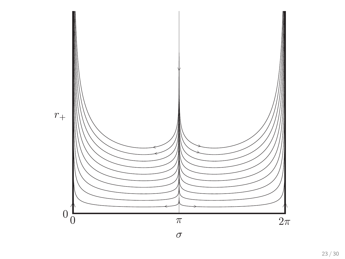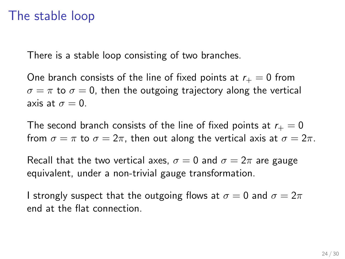### The stable loop

There is a stable loop consisting of two branches.

One branch consists of the line of fixed points at  $r_{+} = 0$  from  $\sigma = \pi$  to  $\sigma = 0$ , then the outgoing trajectory along the vertical axis at  $\sigma = 0$ .

The second branch consists of the line of fixed points at  $r_{+} = 0$ from  $\sigma = \pi$  to  $\sigma = 2\pi$ , then out along the vertical axis at  $\sigma = 2\pi$ .

Recall that the two vertical axes,  $\sigma = 0$  and  $\sigma = 2\pi$  are gauge equivalent, under a non-trivial gauge transformation.

I strongly suspect that the outgoing flows at  $\sigma = 0$  and  $\sigma = 2\pi$ end at the flat connection.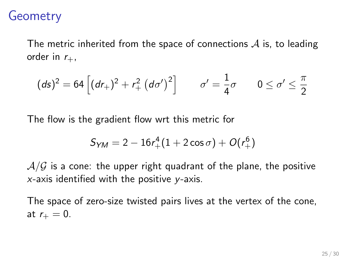# **Geometry**

The metric inherited from the space of connections  $\mathcal A$  is, to leading order in  $r_{+}$ ,

$$
(ds)^{2} = 64 \left[ (dr_{+})^{2} + r_{+}^{2} (d\sigma')^{2} \right] \qquad \sigma' = \frac{1}{4}\sigma \qquad 0 \le \sigma' \le \frac{\pi}{2}
$$

The flow is the gradient flow wrt this metric for

$$
S_{YM}=2-16r_+^4(1+2\cos\sigma)+O(r_+^6)
$$

 $A/G$  is a cone: the upper right quadrant of the plane, the positive  $x$ -axis identified with the positive  $y$ -axis.

The space of zero-size twisted pairs lives at the vertex of the cone, at  $r_{+} = 0$ .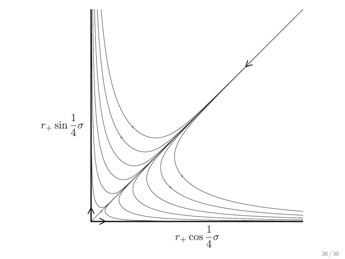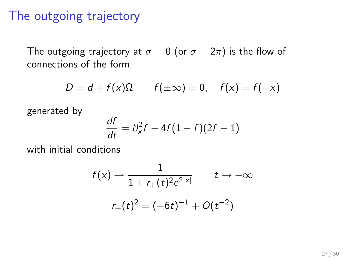### The outgoing trajectory

The outgoing trajectory at  $\sigma = 0$  (or  $\sigma = 2\pi$ ) is the flow of connections of the form

$$
D = d + f(x)\Omega \qquad f(\pm \infty) = 0, \quad f(x) = f(-x)
$$

generated by

$$
\frac{df}{dt} = \partial_x^2 f - 4f(1 - f)(2f - 1)
$$

with initial conditions

$$
f(x) \to \frac{1}{1 + r_{+}(t)^{2} e^{2|x|}} \qquad t \to -\infty
$$

$$
r_{+}(t)^{2} = (-6t)^{-1} + O(t^{-2})
$$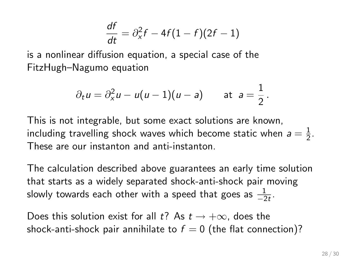$$
\frac{df}{dt} = \partial_x^2 f - 4f(1 - f)(2f - 1)
$$

is a nonlinear diffusion equation, a special case of the FitzHugh–Nagumo equation

$$
\partial_t u = \partial_x^2 u - u(u-1)(u-a)
$$
 at  $a = \frac{1}{2}$ .

This is not integrable, but some exact solutions are known, including travelling shock waves which become static when  $a=\frac{1}{2}$  $\frac{1}{2}$ . These are our instanton and anti-instanton.

The calculation described above guarantees an early time solution that starts as a widely separated shock-anti-shock pair moving slowly towards each other with a speed that goes as  $\frac{1}{-2t}$ .

Does this solution exist for all t? As  $t \to +\infty$ , does the shock-anti-shock pair annihilate to  $f = 0$  (the flat connection)?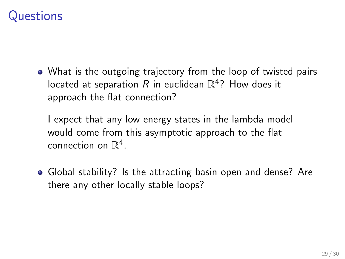# Questions

What is the outgoing trajectory from the loop of twisted pairs located at separation  $R$  in euclidean  $\mathbb{R}^4$ ? How does it approach the flat connection?

I expect that any low energy states in the lambda model would come from this asymptotic approach to the flat connection on  $\mathbb{R}^4$ .

Global stability? Is the attracting basin open and dense? Are there any other locally stable loops?